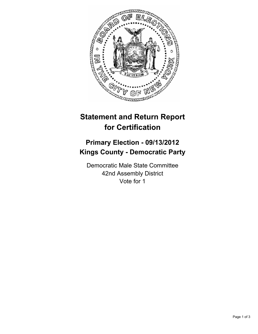

## **Statement and Return Report for Certification**

## **Primary Election - 09/13/2012 Kings County - Democratic Party**

Democratic Male State Committee 42nd Assembly District Vote for 1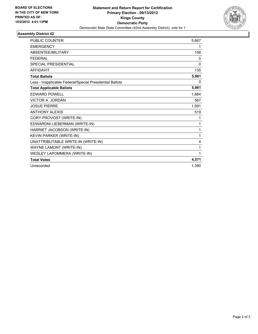

## **Assembly District 42**

| <b>PUBLIC COUNTER</b>                                    | 5,667        |
|----------------------------------------------------------|--------------|
| <b>EMERGENCY</b>                                         | 1            |
| ABSENTEE/MILITARY                                        | 158          |
| <b>FEDERAL</b>                                           | 0            |
| <b>SPECIAL PRESIDENTIAL</b>                              | $\mathbf{0}$ |
| <b>AFFIDAVIT</b>                                         | 135          |
| <b>Total Ballots</b>                                     | 5,961        |
| Less - Inapplicable Federal/Special Presidential Ballots | 0            |
| <b>Total Applicable Ballots</b>                          | 5,961        |
| <b>EDWARD POWELL</b>                                     | 1,884        |
| <b>VICTOR A. JORDAN</b>                                  | 567          |
| <b>JOSUE PIERRE</b>                                      | 1,591        |
| <b>ANTHONY ALEXIS</b>                                    | 519          |
| CORY PROVOST (WRITE-IN)                                  | 1            |
| EDWARDNI LIEBERMAN (WRITE-IN)                            | 1            |
| HARRIET JACOBSON (WRITE-IN)                              | 1            |
| KEVIN PARKER (WRITE-IN)                                  | 1            |
| UNATTRIBUTABLE WRITE-IN (WRITE-IN)                       | 4            |
| WAYNE LAMONT (WRITE-IN)                                  | 1            |
| <b>WESLEY LAPOMMERA (WRITE-IN)</b>                       | 1            |
| <b>Total Votes</b>                                       | 4,571        |
| Unrecorded                                               | 1,390        |